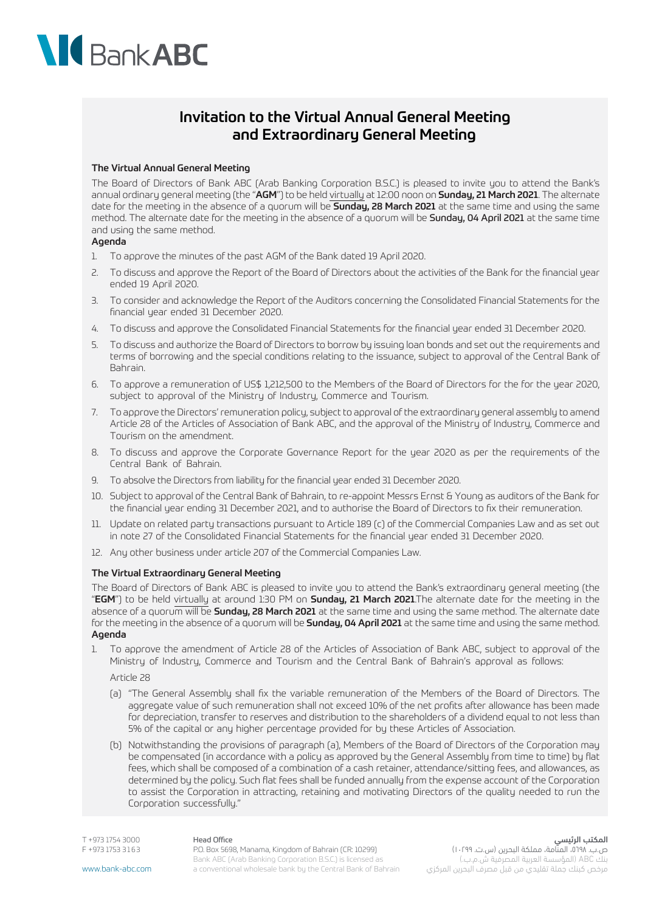# **NG** Bank ABC

# Invitation to the Virtual Annual General Meeting and Extraordinary General Meeting

### The Virtual Annual General Meeting

The Board of Directors of Bank ABC (Arab Banking Corporation B.S.C.) is pleased to invite you to attend the Bank's annual ordinary general meeting (the "AGM") to be held virtually at 12:00 noon on Sunday, 21 March 2021. The alternate date for the meeting in the absence of a quorum will be **Sunday, 28 March 2021** at the same time and using the same method. The alternate date for the meeting in the absence of a quorum will be Sunday, 04 April 2021 at the same time and using the same method.

### Agenda

- 1. To approve the minutes of the past AGM of the Bank dated 19 April 2020.
- 2. To discuss and approve the Report of the Board of Directors about the activities of the Bank for the financial year ended 19 April 2020.
- 3. To consider and acknowledge the Report of the Auditors concerning the Consolidated Financial Statements for the financial year ended 31 December 2020.
- 4. To discuss and approve the Consolidated Financial Statements for the financial year ended 31 December 2020.
- 5. To discuss and authorize the Board of Directors to borrow by issuing loan bonds and set out the requirements and terms of borrowing and the special conditions relating to the issuance, subject to approval of the Central Bank of Bahrain.
- 6. To approve a remuneration of US\$ 1,212,500 to the Members of the Board of Directors for the for the year 2020, subject to approval of the Ministry of Industry, Commerce and Tourism.
- 7. To approve the Directors' remuneration policy, subject to approval of the extraordinary general assembly to amend Article 28 of the Articles of Association of Bank ABC, and the approval of the Ministry of Industry, Commerce and Tourism on the amendment.
- 8. To discuss and approve the Corporate Governance Report for the year 2020 as per the requirements of the Central Bank of Bahrain.
- 9. To absolve the Directors from liability for the financial year ended 31 December 2020.
- 10. Subject to approval of the Central Bank of Bahrain, to re-appoint Messrs Ernst & Young as auditors of the Bank for the financial year ending 31 December 2021, and to authorise the Board of Directors to fix their remuneration.
- 11. Update on related party transactions pursuant to Article 189 (c) of the Commercial Companies Law and as set out in note 27 of the Consolidated Financial Statements for the financial year ended 31 December 2020.
- 12. Any other business under article 207 of the Commercial Companies Law.

#### The Virtual Extraordinary General Meeting

The Board of Directors of Bank ABC is pleased to invite you to attend the Bank's extraordinary general meeting (the "EGM") to be held virtually at around 1:30 PM on Sunday, 21 March 2021.The alternate date for the meeting in the absence of a quorum will be **Sunday, 28 March 2021** at the same time and using the same method. The alternate date for the meeting in the absence of a quorum will be **Sunday, 04 April 2021** at the same time and using the same method. Agenda

1. To approve the amendment of Article 28 of the Articles of Association of Bank ABC, subject to approval of the Ministry of Industry, Commerce and Tourism and the Central Bank of Bahrain's approval as follows:

Article 28

- (a) "The General Assembly shall fix the variable remuneration of the Members of the Board of Directors. The aggregate value of such remuneration shall not exceed 10% of the net profits after allowance has been made for depreciation, transfer to reserves and distribution to the shareholders of a dividend equal to not less than 5% of the capital or any higher percentage provided for by these Articles of Association.
- (b) Notwithstanding the provisions of paragraph (a), Members of the Board of Directors of the Corporation may be compensated (in accordance with a policy as approved by the General Assembly from time to time) by flat fees, which shall be composed of a combination of a cash retainer, attendance/sitting fees, and allowances, as determined by the policy. Such flat fees shall be funded annually from the expense account of the Corporation to assist the Corporation in attracting, retaining and motivating Directors of the quality needed to run the Corporation successfully."

T +973 1754 3000 F +973 1753 3 1 6 3 Head Office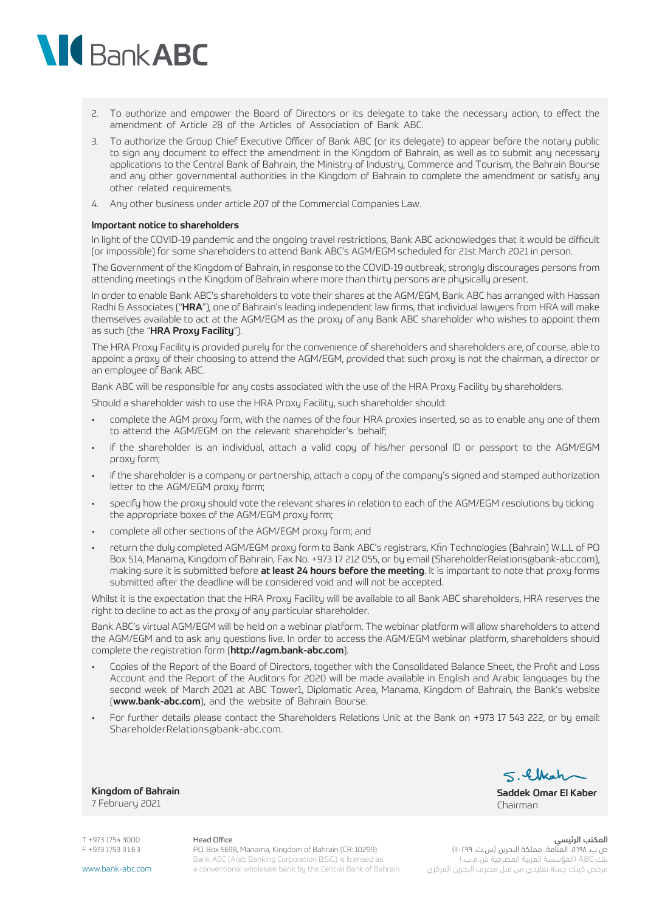# **NG** Bank ABC

- 2. To authorize and empower the Board of Directors or its delegate to take the necessary action, to effect the amendment of Article 28 of the Articles of Association of Bank ABC.
- 3. To authorize the Group Chief Executive Officer of Bank ABC (or its delegate) to appear before the notary public to sign any document to effect the amendment in the Kingdom of Bahrain, as well as to submit any necessary applications to the Central Bank of Bahrain, the Ministry of Industry, Commerce and Tourism, the Bahrain Bourse and any other governmental authorities in the Kingdom of Bahrain to complete the amendment or satisfy any other related requirements.
- 4. Any other business under article 207 of the Commercial Companies Law.

#### Important notice to shareholders

In light of the COVID-19 pandemic and the ongoing travel restrictions, Bank ABC acknowledges that it would be difficult (or impossible) for some shareholders to attend Bank ABC's AGM/EGM scheduled for 21st March 2021 in person.

The Government of the Kingdom of Bahrain, in response to the COVID-19 outbreak, strongly discourages persons from attending meetings in the Kingdom of Bahrain where more than thirty persons are physically present.

In order to enable Bank ABC's shareholders to vote their shares at the AGM/EGM, Bank ABC has arranged with Hassan Radhi & Associates ("HRA"), one of Bahrain's leading independent law firms, that individual lawyers from HRA will make themselves available to act at the AGM/EGM as the proxy of any Bank ABC shareholder who wishes to appoint them as such (the "HRA Proxy Facility").

The HRA Proxy Facility is provided purely for the convenience of shareholders and shareholders are, of course, able to appoint a proxy of their choosing to attend the AGM/EGM, provided that such proxy is not the chairman, a director or an employee of Bank ABC.

Bank ABC will be responsible for any costs associated with the use of the HRA Proxy Facility by shareholders.

Should a shareholder wish to use the HRA Proxy Facility, such shareholder should:

- complete the AGM proxy form, with the names of the four HRA proxies inserted, so as to enable any one of them to attend the AGM/EGM on the relevant shareholder's behalf;
- if the shareholder is an individual, attach a valid copy of his/her personal ID or passport to the AGM/EGM proxy form;
- if the shareholder is a company or partnership, attach a copy of the company's signed and stamped authorization letter to the AGM/EGM proxy form;
- specify how the proxy should vote the relevant shares in relation to each of the AGM/EGM resolutions by ticking the appropriate boxes of the AGM/EGM proxy form;
- complete all other sections of the AGM/EGM proxy form; and
- return the duly completed AGM/EGM proxy form to Bank ABC's registrars, Kfin Technologies (Bahrain) W.L.L of PO Box 514, Manama, Kingdom of Bahrain, Fax No. +973 17 212 055, or by email (ShareholderRelations@bank-abc.com), making sure it is submitted before **at least 24 hours before the meeting**. It is important to note that proxy forms submitted after the deadline will be considered void and will not be accepted.

Whilst it is the expectation that the HRA Proxy Facility will be available to all Bank ABC shareholders, HRA reserves the right to decline to act as the proxy of any particular shareholder.

Bank ABC's virtual AGM/EGM will be held on a webinar platform. The webinar platform will allow shareholders to attend the AGM/EGM and to ask any questions live. In order to access the AGM/EGM webinar platform, shareholders should complete the registration form (http://agm.bank-abc.com).

- Copies of the Report of the Board of Directors, together with the Consolidated Balance Sheet, the Profit and Loss Account and the Report of the Auditors for 2020 will be made available in English and Arabic languages by the second week of March 2021 at ABC Tower1, Diplomatic Area, Manama, Kingdom of Bahrain, the Bank's website (www.bank-abc.com), and the website of Bahrain Bourse.
- For further details please contact the Shareholders Relations Unit at the Bank on +973 17 543 222, or by email: ShareholderRelations@bank-abc.com.

Kingdom of Bahrain 7 February 2021

 $<.4$  that

Saddek Omar El Kaber Chairman

بنك ABC( المؤسسة العربية المصرفية ش.م.ب.( مرخص كبنك جملة تقليدي من قبل مصرف البحرين المركزي

T +973 1754 3000 F +973 1753 3 1 6 3

Head Office P.O. Box 5698, Manama, Kingdom of Bahrain (CR: 10299) Bank ABC (Arab Banking Corporation B.S.C.) is licensed as a conventional wholesale bank by the Central Bank of Bahrain

المكتب الرئيسي ص.ب. ،٥٦٩٨، المناّمة، مملكة البحرين (س.ت. ١٠٢٩٩)

www.bank-abc.com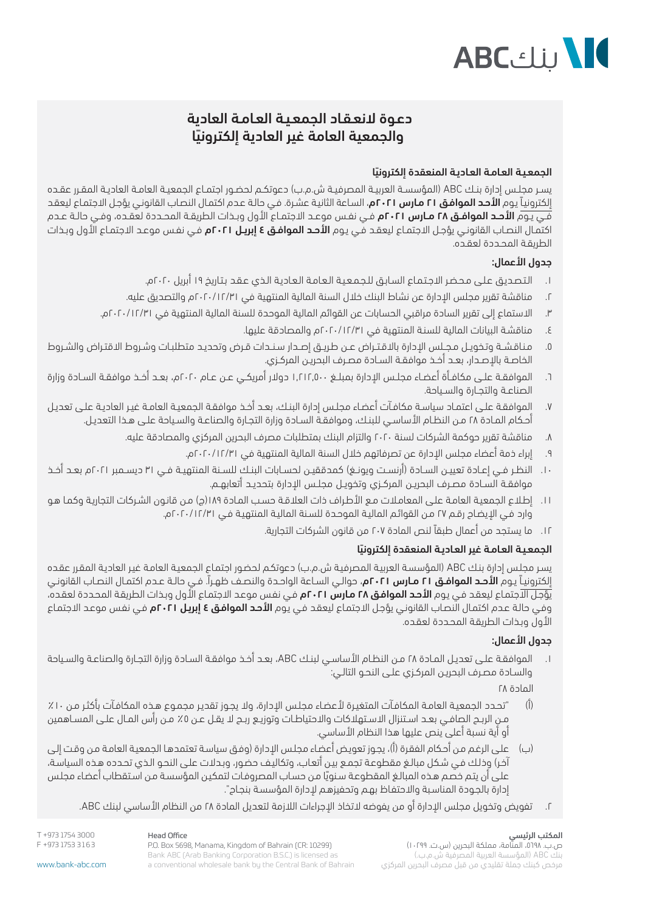

# دعـوة النعـقـاد الجمعـيـة العـامـة العادية ً والجمعية العامة غير العادية إلكترونيا

## ً الجمعـيـة العـامـة العـاديـة المنعقدة إلكترونيا

يســر مجلــس إدارة بنـك ABC (المؤسســة العربيـة المصرفيــة ش.م.ب) دعوتكـم لحضـور اجتمــاع الجمعيــة العامــة العاديــة المقــرر عقــده إلكترونيـاً يـوم **الأحـد الموافـق ٢١ مـارس ٢٠٢١**م، السـاعة الثانيـة عشـرة. فـي حالـة عـدم اكتمـال النصـاب القانونـي يؤجـل الاجتمـاع ليعقـد فــي يـوم **الأحـد الموافـق ٢٨ مـارس ٢٠٢١م** فــي نفـس موعـد الاجتمـاع الأول وبـذات الطريقـة المحـددة لعقـده، وفـي حالـة عـدم كتمـال النصـاب القانونـي يؤجـل الاجتمـاع ليعقـد فـي يـوم **الأحـد الموافـق ٤ إبريـل ٢٠٢١م** فـي نفـس موعـد الاجتمـاع الأول وبـذات الطريقـة المحـددة لعقـده.

## جدول الأعمال:

- . الـتـصـديـق عـلـى مـحـضـر االجـتـمـاع السـابـق للـجـمـعـيـة الـعـامـة الـعـاديـة الـذي عـقـد بـتـاريخ 19 أبريل 2020م.
- . مناقشة تقرير مجلس اإلدارة عن نشاط البنك خالل السنة المالية المنتهية في 2020/12/31م والتصديق عليه.
- . االستماع إلى تقرير السادة مراقبي الحسابات عن القوائم المالية الموحدة للسنة المالية المنتهية في 2020/12/31م.
	- . مناقشـة البيانات المالية للسنـة المنتهية في 2020/12/31م والمصادقة عليها.
- . مـنـاقـشــة وتـخويــل مـجــلس اإلدارة باالقـتــراض عــن طـريــق إصــدار سـنــدات قـرض وتحديـد متطلبـات وشـروط االقتـراض والشـروط الخاصـة بالإصـدار، بعـد أخـذ موافقـة السـادة مصـرف البحريـن المركـزي.
- . الموافقــة علــى مكافــأة أعضــاء مجلــس اإلدارة بمبلــغ 1.212.500 دوالر أمريكــي عــن عــام 2020م، بعــد أخــذ موافقــة الســادة وزارة الصناعـة والتحــارة والســـاحة.
- . الموافقـة علـى اعتمـاد سياسـة مكافـآت أعضـاء مجلـس إدارة البنـك، بعـد أخـذ موافقـة الجمعيـة العامـة غيـر العاديـة علـى تعديـل أحـكام المـادة ٢٨ مـن النظـام الأساسـي للبنـك، وموافقـة السـادة وزارة التجـارة والصناعـة والسـياحة علـى هـذا التعديـل.
	- . مناقشة تقرير حوكمة الشركات لسنة 2020 والتزام البنك بمتطلبات مصرف البحرين المركزي والمصادقة عليه.
		- . إبراء ذمة أعضاء مجلس اإلدارة عن تصرفاتهم خالل السنة المالية المنتهية في 2020/12/31م.
- ١٠. النظــر فــي إعــادة تعييـن الســادة (أرنسـت ويونــغ) كمدققيـن لحسـابات البنـك للســنة المنتهيـة فــي ٣١ ديســمبر ٢٠٢١م بعــد أخـذ موافقــة الســادة مصــرف البحريــن المركــزي وتخويــل مجلــس الإـدارة بتحديــد أتعابهــم.
- ا1. إطـلاع الجمعيـة العامـة علـى المعامـلات مـع الأطـراف ذات العلاقـة حسـب المـادة ١٨٩(ج) مـن قانـون الشـركات التجاريـة وكمـا هـو وارد فـي اإليضـاح رقـم 27 مـن القوائـم الماليـة الموحـدة للسـنة الماليـة المنتهيـة فـي 2020/12/31م.
	- 12.ما يستجد من أعمال طبقاً لنص المادة 207 من قانون الشركات التجارية.

## ً الجمعـيـة العـامـة غير العـاديـة المنعقدة إلكترونيا

يسـر مجلـس إدارة بنك ABC (المؤسسـة العربيـة المصرفيـة ش.م.ب) دعوتكـم لحضـور اجتمـاع الجمعيـة العامـة غيـر العاديـة المقـرر عقـده إلكترونيـاً يـوم **الأحـد الموافـق ٢١ مـارس ٢٠٢١م**، حوالـي السـاعة الواحـدة والنصـف ظهـراً. فـي حالـة عـدم اكتمـال النصـاب القانونـي يؤجل اللجتماع ليعقد فـي يوم **الأحد الموافق ٢٨ مارس ٢٠٢١م** فـي نفس موعد الاجتماع الأول وبـذات الطريقة المحددة لعقده، وفـي حالـة عـدم اكتمـال النصـاب القانونـي يؤجـل الاجتمـاع ليعقـد فـي يـوم **الأحـد الموافـق ٤ إبريـل ٢٠٢١م** فـي نفـس موعـد الاجتمـاع األول وبـذات الطريقـة المحـددة لعقـده.

## جدول الأعمال:

. الموافقـة علـى تعديـل المـادة 28 مـن النظـام األساسـي لبنـك ABC، بعـد أخـذ موافقـة السـادة وزارة التجـارة والصناعـة والسـياحة والسـادة مصـرف البحريـن المركـزي علـى النحـو التالـي:

المادة ٢٨

- )أ( "تحـدد الجمعيـة العامـة المكافـآت المتغيـرة ألعضـاء مجلـس اإلدارة، وال يجـوز تقديـر مجمـوع هـذه المكافـآت بأكثـر مـن %10 مــن الربــح الصافــي بعــد اسـتنزال الاسـتهلاكات والاحتياطــات وتوزيــع ربــح لا يقــل عــن ٥٪ مــن رأس المـال علــي المســاهمين أو أية نسبة أعلى ينص عليها هذا النظام األساسي.
- (ب) علـى الرغم مـن أحكام الفقرة (أ)، يجوز تعويض أعضاء مجلس الإدارة (وفـق سياسة تعتمدهـا الجمعية العامـة مـن وقـت إلـى آخر) وذلك فـي شـكل مبالـغ مقطوعـة تجمـع بين أتعـاب، وتكاليف حضور، وبـدلات علـى النحـو الـذي تحـدده هـذه السياسـة، ً علـى أن يتـم خصـم هـذه المبالـغ المقطوعـة سـنويا مـن حسـاب المصروفـات لتمكيـن المؤسسـة مـن اسـتقطاب أعضـاء مجلـس إدارة بالجـودة المناسـبة واالحتفـاظ بهـم وتحفيزهـم إلدارة المؤسسـة بنجـاح".
	- . تفويض وتخويل مجلس اإلدارة أو من يفوضه التخاذ اإلجراءات الالزمة لتعديل المادة 28 من النظام األساسي لبنك ABC.

T +973 1754 3000